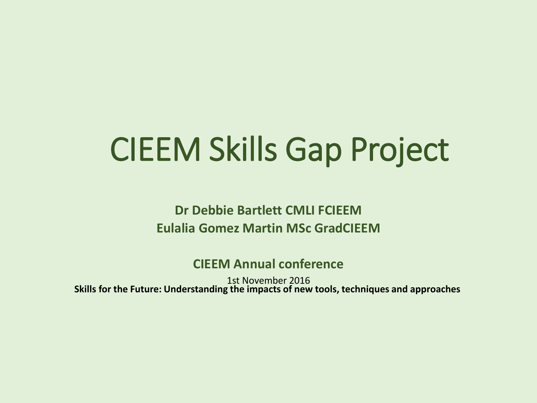# CIEEM Skills Gap Project

**Dr Debbie Bartlett CMLI FCIEEM Eulalia Gomez Martin MSc GradCIEEM**

**CIEEM Annual conference**

1st November 2016 **Skills for the Future: Understanding the impacts of new tools, techniques and approaches**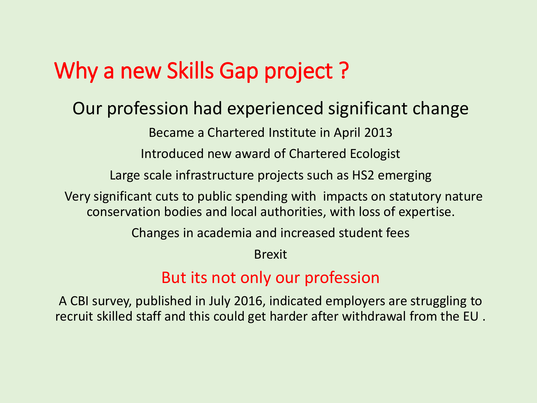## Why a new Skills Gap project?

### Our profession had experienced significant change

Became a Chartered Institute in April 2013

Introduced new award of Chartered Ecologist

Large scale infrastructure projects such as HS2 emerging

Very significant cuts to public spending with impacts on statutory nature conservation bodies and local authorities, with loss of expertise.

Changes in academia and increased student fees

Brexit

#### But its not only our profession

A CBI survey, published in July 2016, indicated employers are struggling to recruit skilled staff and this could get harder after withdrawal from the EU .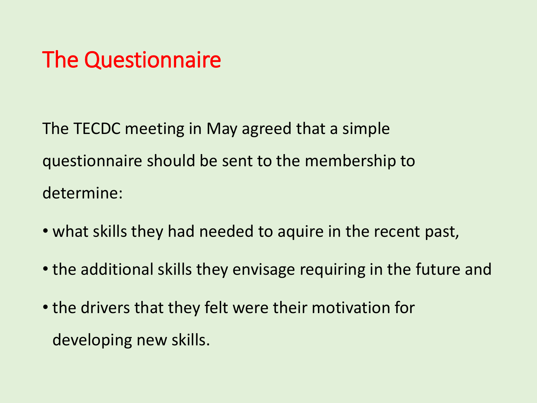## The Questionnaire

The TECDC meeting in May agreed that a simple questionnaire should be sent to the membership to determine:

- what skills they had needed to aquire in the recent past,
- the additional skills they envisage requiring in the future and
- the drivers that they felt were their motivation for developing new skills.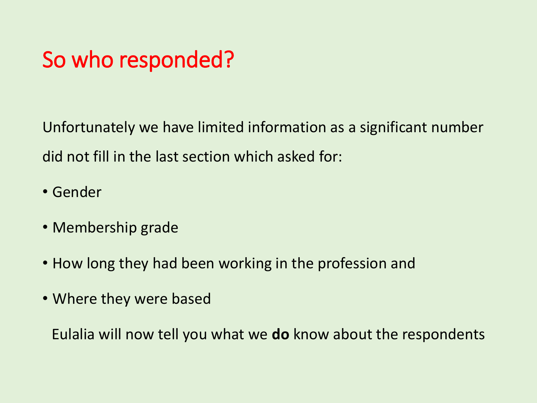## So who responded?

Unfortunately we have limited information as a significant number did not fill in the last section which asked for:

- Gender
- Membership grade
- How long they had been working in the profession and
- Where they were based

Eulalia will now tell you what we **do** know about the respondents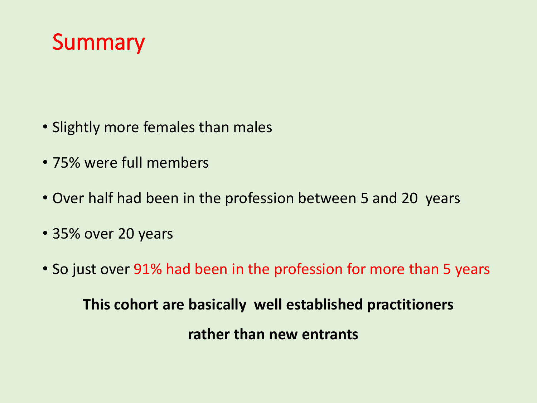

- Slightly more females than males
- 75% were full members
- Over half had been in the profession between 5 and 20 years
- 35% over 20 years
- So just over 91% had been in the profession for more than 5 years

**This cohort are basically well established practitioners rather than new entrants**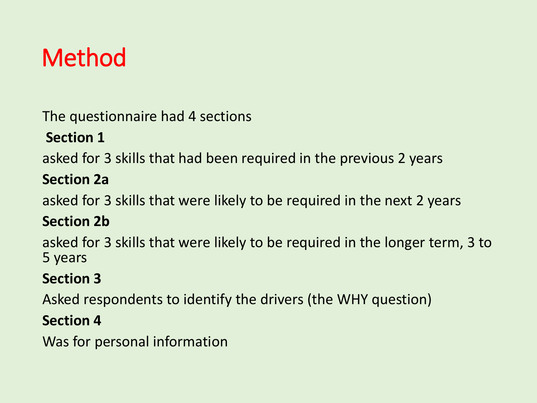## Method

The questionnaire had 4 sections

#### **Section 1**

asked for 3 skills that had been required in the previous 2 years

#### **Section 2a**

asked for 3 skills that were likely to be required in the next 2 years

#### **Section 2b**

asked for 3 skills that were likely to be required in the longer term, 3 to 5 years

#### **Section 3**

Asked respondents to identify the drivers (the WHY question)

#### **Section 4**

Was for personal information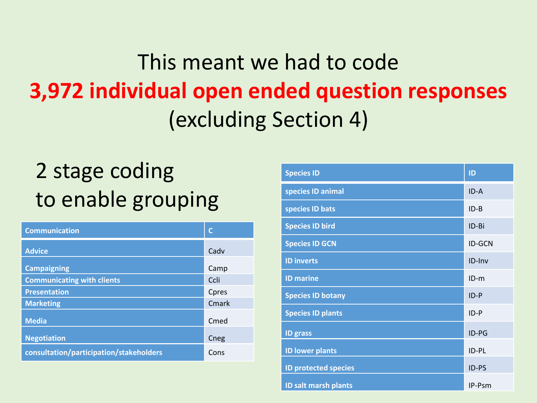## This meant we had to code **3,972 individual open ended question responses** (excluding Section 4)

## 2 stage coding to enable grouping

| <b>Communication</b>                    |       |
|-----------------------------------------|-------|
| <b>Advice</b>                           | Cadv  |
| <b>Campaigning</b>                      | Camp  |
| <b>Communicating with clients</b>       | Ccli  |
| <b>Presentation</b>                     | Cpres |
| <b>Marketing</b>                        | Cmark |
| <b>Media</b>                            | Cmed  |
| <b>Negotiation</b>                      | Cneg  |
| consultation/participation/stakeholders | Cons  |

| <b>Species ID</b>           | ID            |
|-----------------------------|---------------|
| species ID animal           | $ID - A$      |
| species ID bats             | $ID-B$        |
| <b>Species ID bird</b>      | ID-Bi         |
| <b>Species ID GCN</b>       | <b>ID-GCN</b> |
| <b>ID inverts</b>           | ID-Inv        |
| <b>ID</b> marine            | $ID-m$        |
| <b>Species ID botany</b>    | $ID-P$        |
| <b>Species ID plants</b>    | $ID-P$        |
| <b>ID</b> grass             | ID-PG         |
| <b>ID lower plants</b>      | ID-PL         |
| <b>ID protected species</b> | ID-PS         |
| <b>ID salt marsh plants</b> | IP-Psm        |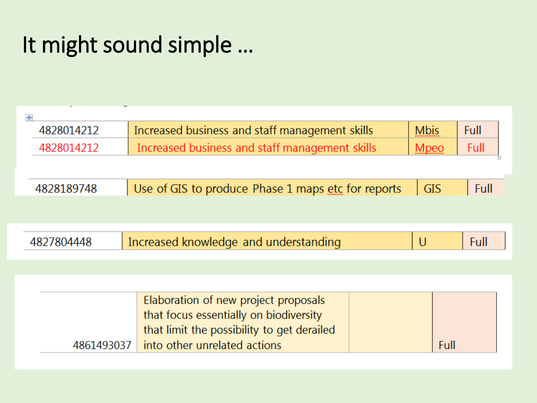## It might sound simple …

| $\ddot{\ddagger}$ |                                                              |                                                                                                                                                              |  |             |      |  |  |
|-------------------|--------------------------------------------------------------|--------------------------------------------------------------------------------------------------------------------------------------------------------------|--|-------------|------|--|--|
|                   | Increased business and staff management skills<br>4828014212 |                                                                                                                                                              |  |             |      |  |  |
| 4828014212        |                                                              | Increased business and staff management skills                                                                                                               |  | <b>Mpeo</b> | Full |  |  |
|                   |                                                              |                                                                                                                                                              |  |             |      |  |  |
| 4828189748        |                                                              | Use of GIS to produce Phase 1 maps etc for reports                                                                                                           |  | <b>GIS</b>  | Full |  |  |
|                   |                                                              |                                                                                                                                                              |  |             |      |  |  |
| 4827804448        |                                                              | Increased knowledge and understanding                                                                                                                        |  | $\cup$      | Full |  |  |
|                   |                                                              |                                                                                                                                                              |  |             |      |  |  |
|                   | 4861493037                                                   | Elaboration of new project proposals<br>that focus essentially on biodiversity<br>that limit the possibility to get derailed<br>into other unrelated actions |  | Full        |      |  |  |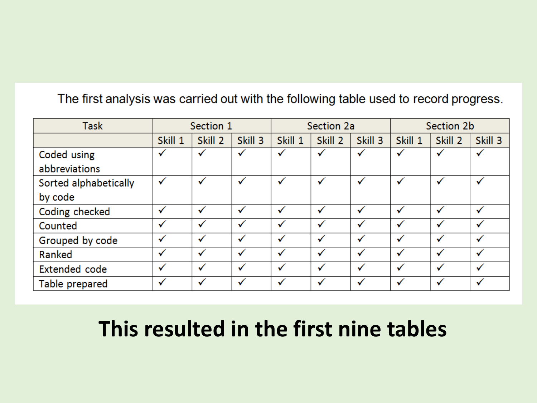#### The first analysis was carried out with the following table used to record progress.

| <b>Task</b>           | Section 1 |              | Section 2a   |              |              | Section 2b   |         |              |              |
|-----------------------|-----------|--------------|--------------|--------------|--------------|--------------|---------|--------------|--------------|
|                       | Skill 1   | Skill 2      | Skill 3      | Skill 1      | Skill 2      | Skill 3      | Skill 1 | Skill 2      | Skill 3      |
| Coded using           | ✓         | √            | ✓            | $\checkmark$ | $\checkmark$ | $\checkmark$ |         | ✓            | ✓            |
| abbreviations         |           |              |              |              |              |              |         |              |              |
| Sorted alphabetically | ✓         | $\checkmark$ | ✓            | √            | $\checkmark$ | ✓            |         | $\checkmark$ | √            |
| by code               |           |              |              |              |              |              |         |              |              |
| Coding checked        | ✓         | √            | $\checkmark$ | $\checkmark$ | $\checkmark$ | √            |         | $\checkmark$ | $\checkmark$ |
| Counted               | √         | ✓            | √            | $\checkmark$ |              | √            |         |              | ✓            |
| Grouped by code       | ✓         | ✓            | $\checkmark$ | $\checkmark$ |              | √            |         |              | √            |
| Ranked                | √         | ✓            | √            | √            |              | √            |         |              | ✓            |
| <b>Extended code</b>  | √         | √            | √            | √            |              | ✓            |         | ✓            | $\checkmark$ |
| Table prepared        | ✓         |              | $\checkmark$ | $\checkmark$ |              |              |         |              |              |

## **This resulted in the first nine tables**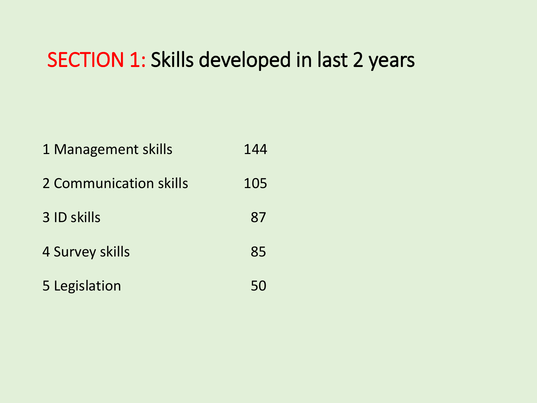### SECTION 1: Skills developed in last 2 years

| 1 Management skills    | 144 |
|------------------------|-----|
| 2 Communication skills | 105 |
| 3 ID skills            | 87  |
| 4 Survey skills        | 85  |
| 5 Legislation          | 50  |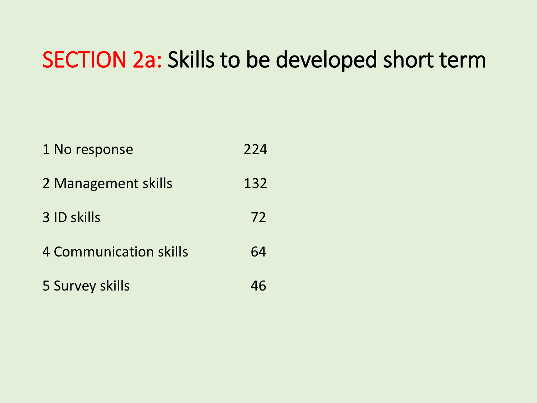## SECTION 2a: Skills to be developed short term

| 1 No response                 | 224 |
|-------------------------------|-----|
| 2 Management skills           | 132 |
| 3 ID skills                   | 72  |
| <b>4 Communication skills</b> | 64  |
| 5 Survey skills               |     |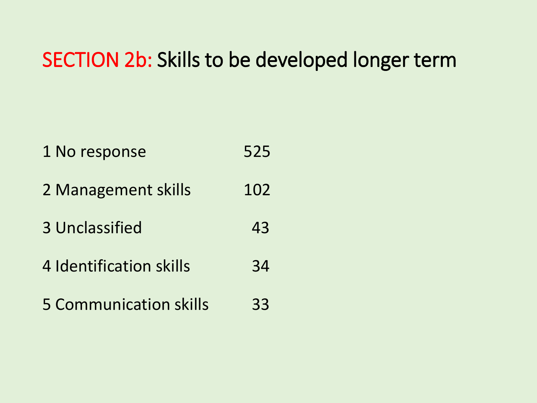### SECTION 2b: Skills to be developed longer term

1 No response 525 2 Management skills 102 3 Unclassified 43 4 Identification skills 34 5 Communication skills 33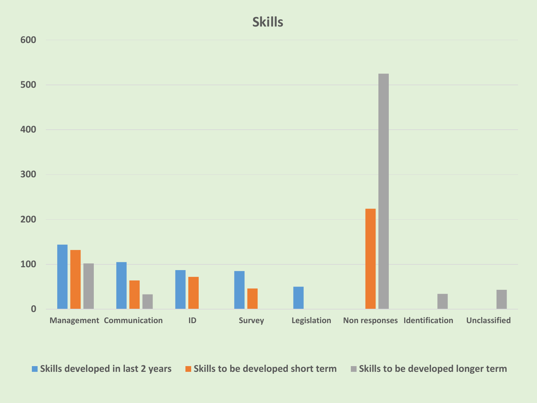

■ Skills developed in last 2 years ■ Skills to be developed short term ■ Skills to be developed longer term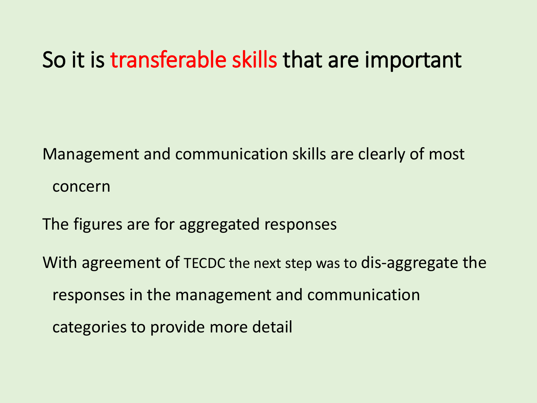## So it is transferable skills that are important

Management and communication skills are clearly of most concern

The figures are for aggregated responses

With agreement of TECDC the next step was to dis-aggregate the responses in the management and communication categories to provide more detail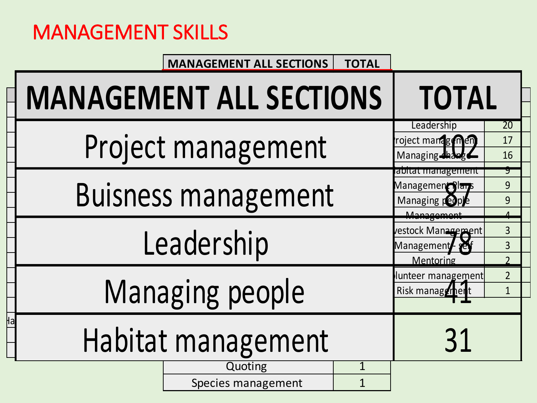## MANAGEMENT SKILLS

#### **MANAGEMENT ALL SECTIONS** TOTAL

| <b>MANAGEMENT ALL SECTIONS</b> | <b>TOTAL</b>                                                            |                                  |  |  |  |  |  |  |
|--------------------------------|-------------------------------------------------------------------------|----------------------------------|--|--|--|--|--|--|
| Project management             | Leadership<br>roject managemen.<br>Managing thange<br>abitat management | 20<br>17<br>16                   |  |  |  |  |  |  |
|                                | <b>Buisness management</b>                                              |                                  |  |  |  |  |  |  |
| Leadership                     | Management<br>vestock Management<br>Management<br>Mentoring             | $\overline{3}$<br>$\overline{3}$ |  |  |  |  |  |  |
| Managing people                | lunteer management<br>Risk manager                                      | $\overline{2}$<br>$\overline{1}$ |  |  |  |  |  |  |
| Habitat management             | 31                                                                      |                                  |  |  |  |  |  |  |
|                                | Quoting<br>Species management                                           | $\mathbf 1$                      |  |  |  |  |  |  |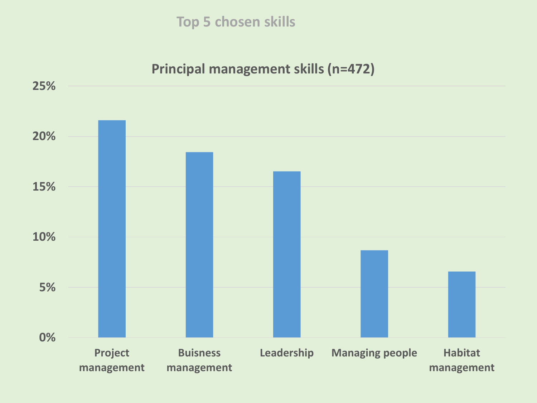**Top 5 chosen skills** 

#### **Principal management skills (n=472)**

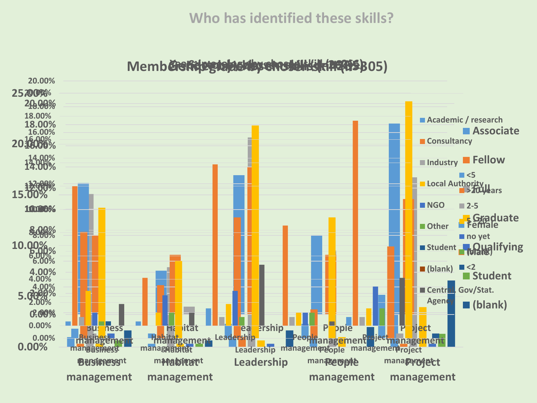#### **Who has identified these skills?**

Memb**ërsfripgdajasdhy choselik (15265**B05)

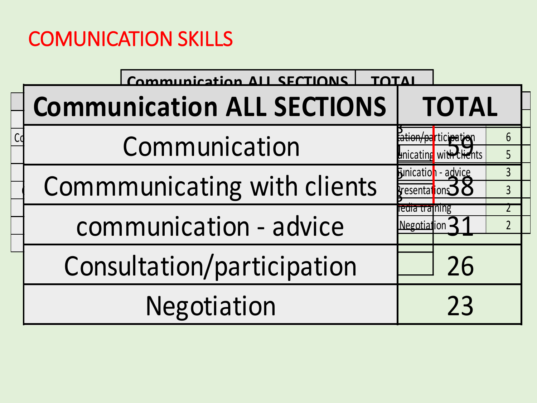## COMUNICATION SKILLS

| Communication ALL SECTIONS        |                               |                                                                     |                                  |
|-----------------------------------|-------------------------------|---------------------------------------------------------------------|----------------------------------|
| <b>Communication ALL SECTIONS</b> |                               | <b>TOTAL</b>                                                        |                                  |
| Communication                     |                               | <del>on/pa</del> rtıcı <del>pa</del><br>cating wit <del>h Cli</del> | 6<br>5 <sup>1</sup>              |
| Commmunicating with clients       | resentations                  | <b>Funication</b> - advice                                          | $\overline{3}$<br>$\overline{3}$ |
| communication - advice            | ledia training<br>Negotiation |                                                                     | $\overline{2}$                   |
| Consultation/participation        |                               | 26                                                                  |                                  |
| Negotiation                       |                               | 23                                                                  |                                  |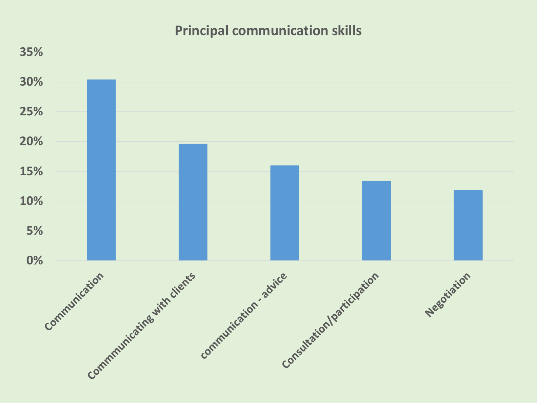#### **Principal communication skills**

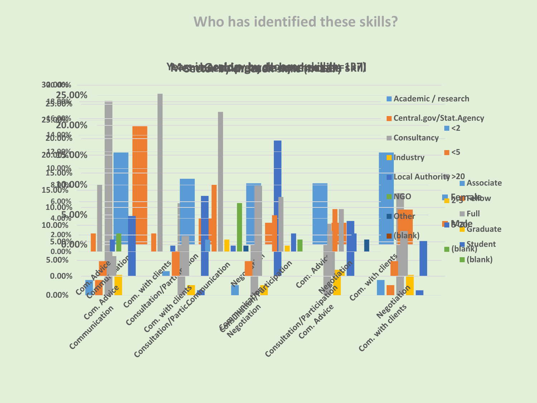#### **Who has identified these skills?**

**Years in the cology grade of the skills (notation)** SR7)

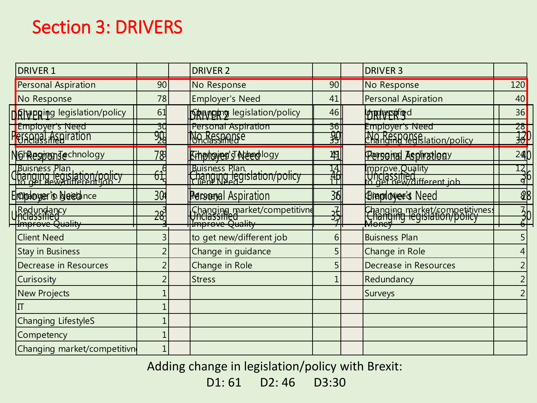### Section 3: DRIVERS

| <b>DRIVER 1</b>                                      |                       | <b>DRIVER 2</b>                               |                  | <b>DRIVER 3</b>                                                        |                                                      |
|------------------------------------------------------|-----------------------|-----------------------------------------------|------------------|------------------------------------------------------------------------|------------------------------------------------------|
| <b>Personal Aspiration</b>                           | 90                    | No Response                                   | 90               | No Response                                                            | 120                                                  |
| No Response                                          | 78                    | <b>Employer's Need</b>                        | 41               | <b>Personal Aspiration</b>                                             | 40                                                   |
| <b>Rhapping legislation/policy</b>                   | 61                    | <b>Shanging legislation/policy</b>            | 46               | <b>UTRIBISPORTED</b>                                                   | 36                                                   |
| <b>Employer's Need</b><br><b>Personal Aspiration</b> | 3U<br>$\frac{90}{28}$ | Personal Aspiration<br>No Response            | $\frac{36}{39}$  | Employer's Need<br>No Response<br>Changing Tegslation/policy           | $\begin{array}{c}\n 28 \\ \hline\n 30\n \end{array}$ |
| <b>NGhRespondechnology</b>                           | 78                    | Erhanoveg's Areadlogy                         | 49               | Personal Asphrationy                                                   | 24                                                   |
| Buisness Plan<br>Changing legislation/policy         | 61                    | Buisness Plan.<br>Changing legislation/policy | 14)<br>11)<br>11 | Improve.Quality<br> Unclassified<br> o get new/different job           | $\frac{12}{96}$                                      |
| Engiptoger's bleed nce                               | 304                   | <b>Personal Aspiration</b>                    | 36               | <b>Eirendover's Need</b>                                               | 88                                                   |
| Redundancy<br>Inclassified<br>Improve Quality        | <u> 28</u>            | Changing market/competitivne                  | $\frac{1}{2}$    | Changing market/competitivness<br>Changing legislation/policy<br>Money | $\overline{3}$                                       |
| <b>Client Need</b>                                   | 3                     | to get new/different job                      | 6                | <b>Buisness Plan</b>                                                   |                                                      |
| <b>Stay in Business</b>                              |                       | Change in guidance                            |                  | Change in Role                                                         |                                                      |
| Decrease in Resources                                |                       | Change in Role                                |                  | Decrease in Resources                                                  |                                                      |
| Curisosity                                           |                       | <b>Stress</b>                                 |                  | Redundancy                                                             |                                                      |
| <b>New Projects</b>                                  |                       |                                               |                  | Surveys                                                                |                                                      |
|                                                      |                       |                                               |                  |                                                                        |                                                      |
| Changing LifestyleS                                  |                       |                                               |                  |                                                                        |                                                      |
| Competency                                           |                       |                                               |                  |                                                                        |                                                      |
| Changing market/competitivn                          |                       |                                               |                  |                                                                        |                                                      |

Adding change in legislation/policy with Brexit:

 $D1: 61$  D2:  $46$  D3:30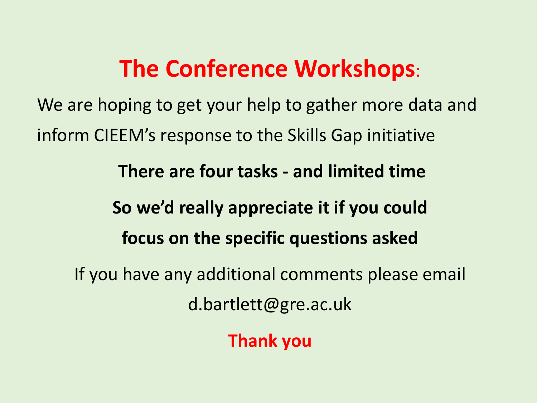## **The Conference Workshops**:

We are hoping to get your help to gather more data and inform CIEEM's response to the Skills Gap initiative

**There are four tasks - and limited time** 

## **So we'd really appreciate it if you could focus on the specific questions asked**

If you have any additional comments please email d.bartlett@gre.ac.uk

**Thank you**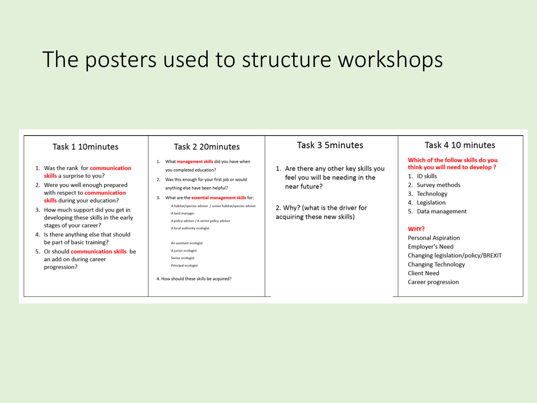## The posters used to structure workshops

#### Task 3 5 minutes Task 4 10 minutes Task 1 10minutes Task 2 20 minutes Which of the follow skills do you 1. What management skills did you have when think you will need to develop? 1. Was the rank for communication 1. Are there any other key skills you you completed education? skills a surprise to you? 1. ID skills feel you will be needing in the 2. Was this enough for your first job or would 2. Were you well enough prepared 2. Survey methods near future? anything else have been helpful? with respect to communication 3. Technology 3. What are the **essential management skills** for: skills during your education? 4. Legislation A habitat/species adviser / senior habitat/species adviser 2. Why? (what is the driver for 3. How much support did you get in 5. Data management A land manager acquiring these new skills) developing these skills in the early A policy adviser / A senior policy adviser stages of your career? A local authority ecologist WHY? 4. Is there anything else that should **Personal Aspiration** be part of basic training? An assistant ecologist **Employer's Need** 5. Or should communication skills be A junior ecologist Changing legislation/policy/BREXIT Senior ecologist an add on during career **Changing Technology** Principal ecologist progression? **Client Need** 4. How should these skills be acquired? Career progression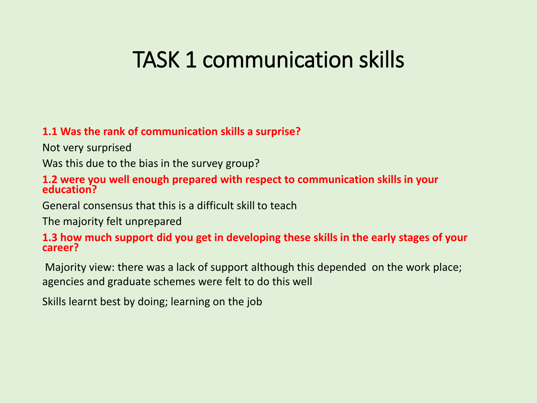## TASK 1 communication skills

#### **1.1 Was the rank of communication skills a surprise?**

Not very surprised

Was this due to the bias in the survey group?

#### **1.2 were you well enough prepared with respect to communication skills in your education?**

General consensus that this is a difficult skill to teach

The majority felt unprepared

#### **1.3 how much support did you get in developing these skills in the early stages of your career?**

Majority view: there was a lack of support although this depended on the work place; agencies and graduate schemes were felt to do this well

Skills learnt best by doing; learning on the job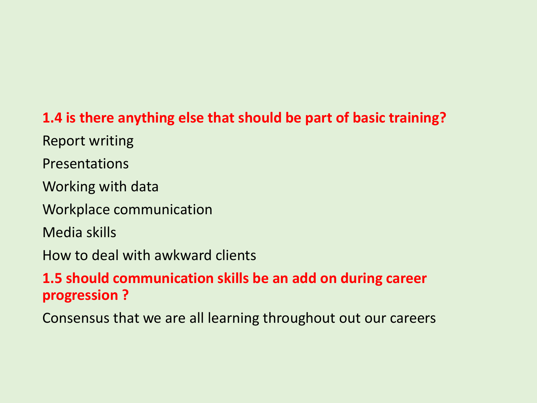#### **1.4 is there anything else that should be part of basic training?**

Report writing

Presentations

Working with data

Workplace communication

Media skills

How to deal with awkward clients

#### **1.5 should communication skills be an add on during career progression ?**

Consensus that we are all learning throughout out our careers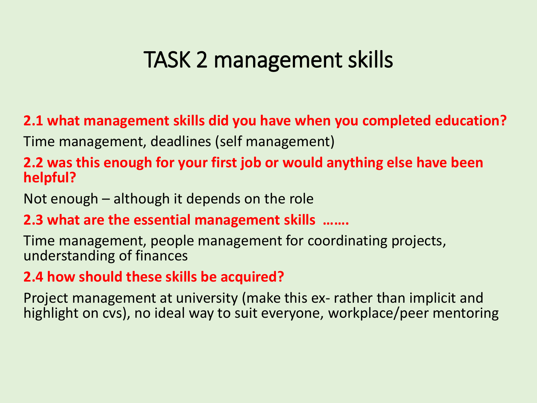## TASK 2 management skills

**2.1 what management skills did you have when you completed education?**

Time management, deadlines (self management)

#### **2.2 was this enough for your first job or would anything else have been helpful?**

Not enough – although it depends on the role

#### **2.3 what are the essential management skills …….**

Time management, people management for coordinating projects, understanding of finances

#### **2.4 how should these skills be acquired?**

Project management at university (make this ex- rather than implicit and highlight on cvs), no ideal way to suit everyone, workplace/peer mentoring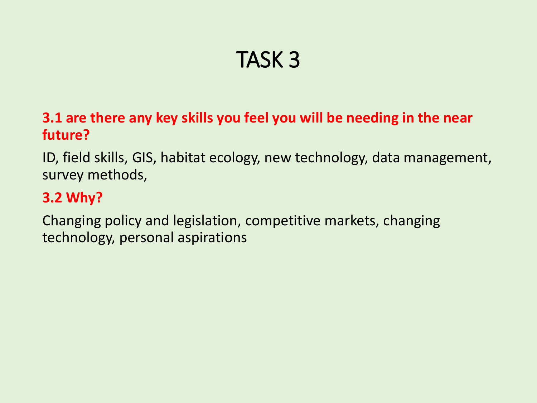## TASK 3

#### **3.1 are there any key skills you feel you will be needing in the near future?**

ID, field skills, GIS, habitat ecology, new technology, data management, survey methods,

#### **3.2 Why?**

Changing policy and legislation, competitive markets, changing technology, personal aspirations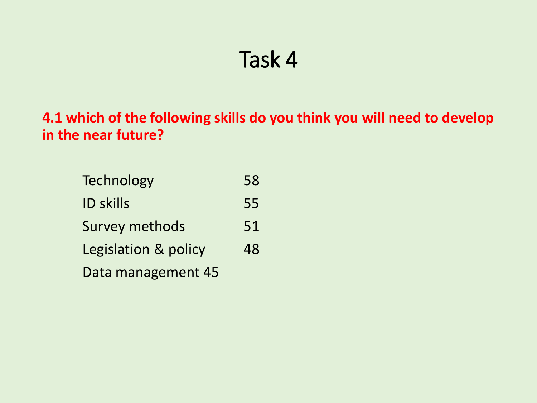## Task 4

**4.1 which of the following skills do you think you will need to develop in the near future?** 

Technology 58 ID skills 55 Survey methods 51 Legislation & policy 48 Data management 45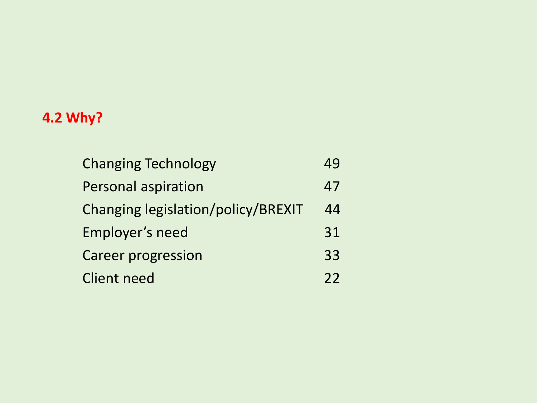#### **4.2 Why?**

| <b>Changing Technology</b>                |    |
|-------------------------------------------|----|
| <b>Personal aspiration</b>                | 47 |
| <b>Changing legislation/policy/BREXIT</b> | 44 |
| Employer's need                           | 31 |
| <b>Career progression</b>                 | 33 |
| <b>Client need</b>                        | 22 |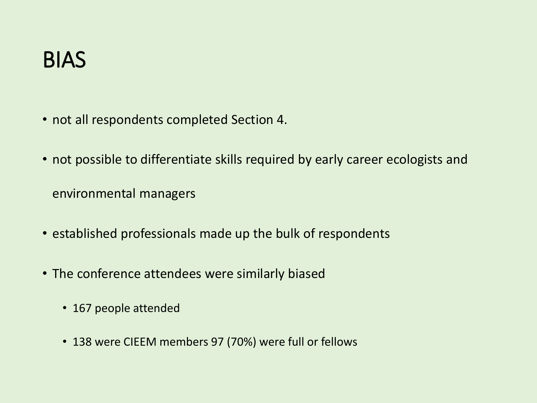- not all respondents completed Section 4.
- not possible to differentiate skills required by early career ecologists and

environmental managers

- established professionals made up the bulk of respondents
- The conference attendees were similarly biased
	- 167 people attended
	- 138 were CIEEM members 97 (70%) were full or fellows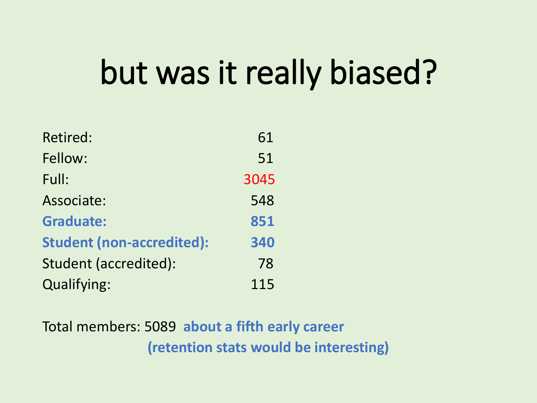# but was it really biased?

| <b>Retired:</b>                  | 61   |
|----------------------------------|------|
| Fellow:                          | 51   |
| Full:                            | 3045 |
| Associate:                       | 548  |
| <b>Graduate:</b>                 | 851  |
| <b>Student (non-accredited):</b> | 340  |
| Student (accredited):            | 78   |
| <b>Qualifying:</b>               | 115  |

Total members: 5089 **about a fifth early career (retention stats would be interesting)**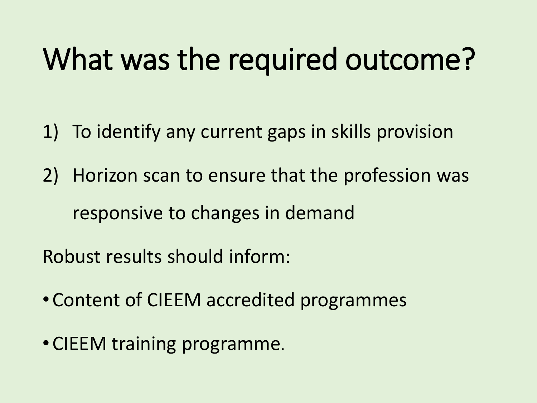# What was the required outcome?

- 1) To identify any current gaps in skills provision
- 2) Horizon scan to ensure that the profession was responsive to changes in demand

Robust results should inform:

- Content of CIEEM accredited programmes
- CIEEM training programme.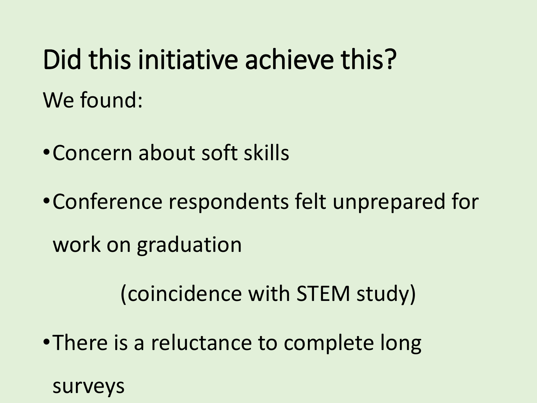# Did this initiative achieve this? We found:

•Concern about soft skills

•Conference respondents felt unprepared for work on graduation

(coincidence with STEM study)

•There is a reluctance to complete long

surveys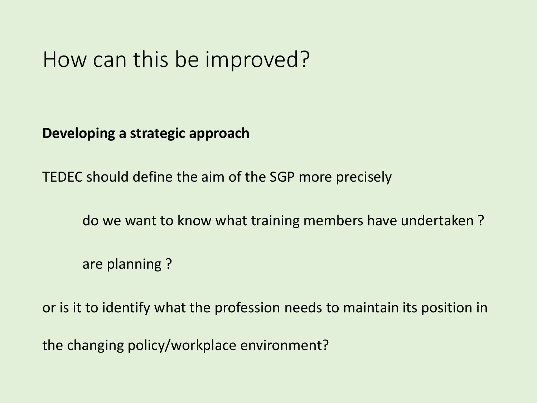## How can this be improved?

**Developing a strategic approach**

TEDEC should define the aim of the SGP more precisely

do we want to know what training members have undertaken ?

are planning ?

or is it to identify what the profession needs to maintain its position in

the changing policy/workplace environment?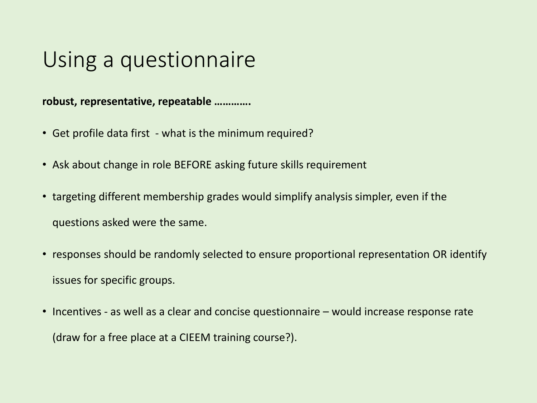## Using a questionnaire

**robust, representative, repeatable ………….**

- Get profile data first what is the minimum required?
- Ask about change in role BEFORE asking future skills requirement
- targeting different membership grades would simplify analysis simpler, even if the questions asked were the same.
- responses should be randomly selected to ensure proportional representation OR identify issues for specific groups.
- Incentives as well as a clear and concise questionnaire would increase response rate (draw for a free place at a CIEEM training course?).